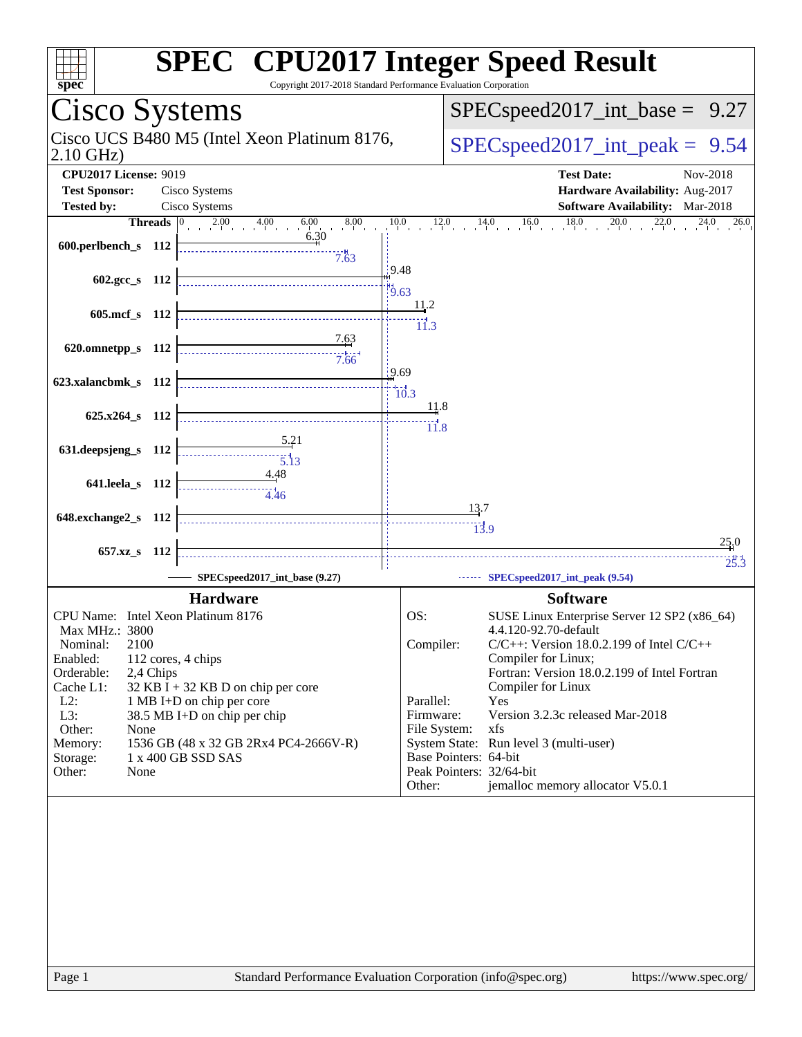| spec <sup>®</sup>                  |                      | <b>SPEC<sup>®</sup> CPU2017 Integer Speed Result</b><br>Copyright 2017-2018 Standard Performance Evaluation Corporation |                            |                  |                                                                     |
|------------------------------------|----------------------|-------------------------------------------------------------------------------------------------------------------------|----------------------------|------------------|---------------------------------------------------------------------|
| Cisco Systems                      |                      |                                                                                                                         |                            |                  | $SPEC speed2017\_int\_base =$<br>9.27                               |
| $2.10$ GHz)                        |                      | Cisco UCS B480 M5 (Intel Xeon Platinum 8176,                                                                            |                            |                  | $SPEC speed2017\_int\_peak = 9.54$                                  |
| <b>CPU2017 License: 9019</b>       |                      |                                                                                                                         |                            |                  | <b>Test Date:</b><br>Nov-2018                                       |
| <b>Test Sponsor:</b>               |                      | Cisco Systems                                                                                                           |                            |                  | Hardware Availability: Aug-2017                                     |
| <b>Tested by:</b>                  |                      | Cisco Systems                                                                                                           |                            |                  | Software Availability: Mar-2018                                     |
|                                    | <b>Threads</b> $ 0 $ | $2.00 \t 4.00 \t 6$<br>6.00<br>8.00                                                                                     | 10.0<br>12.0               |                  | 18.0<br>20.0<br>22.0<br>16.0<br>24.0<br>14.0<br>26.0                |
| 600.perlbench_s 112                |                      | 6.30<br>7.63                                                                                                            |                            |                  |                                                                     |
| 602.gcc s $112$                    |                      |                                                                                                                         | 19.48<br>$\frac{11}{9.63}$ |                  |                                                                     |
| 605.mcf s 112                      |                      |                                                                                                                         | 11.2<br>11.3               |                  |                                                                     |
| 620.omnetpp_s 112                  |                      | 7.63<br>7.66                                                                                                            |                            |                  |                                                                     |
| 623.xalancbmk_s 112                |                      |                                                                                                                         | 9.69<br>10.3               |                  |                                                                     |
| 625.x264_s 112                     |                      |                                                                                                                         | 11.8<br>$\frac{11}{11.8}$  |                  |                                                                     |
| 631.deepsjeng_s 112                |                      | 5.21<br>$\overline{5.13}$                                                                                               |                            |                  |                                                                     |
| 641.leela_s 112                    |                      | <u>4.48</u><br>4.46                                                                                                     |                            | 13.7             |                                                                     |
| 648.exchange2_s 112                |                      |                                                                                                                         |                            | $\frac{1}{13.9}$ |                                                                     |
|                                    |                      |                                                                                                                         |                            |                  | 25.0                                                                |
| $657.xz$ s                         | - 112                |                                                                                                                         |                            |                  | 25.3                                                                |
|                                    |                      | SPECspeed2017_int_base (9.27)                                                                                           |                            |                  | SPECspeed2017_int_peak (9.54)                                       |
|                                    |                      | <b>Hardware</b>                                                                                                         |                            |                  | <b>Software</b>                                                     |
| CPU Name: Intel Xeon Platinum 8176 |                      |                                                                                                                         | OS:                        |                  | SUSE Linux Enterprise Server 12 SP2 (x86_64)                        |
| Max MHz.: 3800                     |                      |                                                                                                                         |                            |                  | 4.4.120-92.70-default                                               |
| 2100<br>Nominal:                   |                      |                                                                                                                         | Compiler:                  |                  | $C/C++$ : Version 18.0.2.199 of Intel $C/C++$                       |
| Enabled:<br>Orderable:             | 2,4 Chips            | 112 cores, 4 chips                                                                                                      |                            |                  | Compiler for Linux;<br>Fortran: Version 18.0.2.199 of Intel Fortran |
| Cache L1:                          |                      | $32$ KB I + 32 KB D on chip per core                                                                                    |                            |                  | Compiler for Linux                                                  |
| $L2$ :                             |                      | 1 MB I+D on chip per core                                                                                               | Parallel:                  |                  | Yes                                                                 |
| L3:<br>Other:<br>None              |                      | 38.5 MB I+D on chip per chip                                                                                            | Firmware:<br>File System:  |                  | Version 3.2.3c released Mar-2018<br>xfs                             |
| Memory:                            |                      | 1536 GB (48 x 32 GB 2Rx4 PC4-2666V-R)                                                                                   |                            |                  | System State: Run level 3 (multi-user)                              |
| Storage:                           |                      | 1 x 400 GB SSD SAS                                                                                                      | Base Pointers: 64-bit      |                  |                                                                     |
| Other:<br>None                     |                      |                                                                                                                         |                            |                  | Peak Pointers: 32/64-bit                                            |
|                                    |                      |                                                                                                                         | Other:                     |                  | jemalloc memory allocator V5.0.1                                    |
|                                    |                      |                                                                                                                         |                            |                  |                                                                     |
|                                    |                      |                                                                                                                         |                            |                  |                                                                     |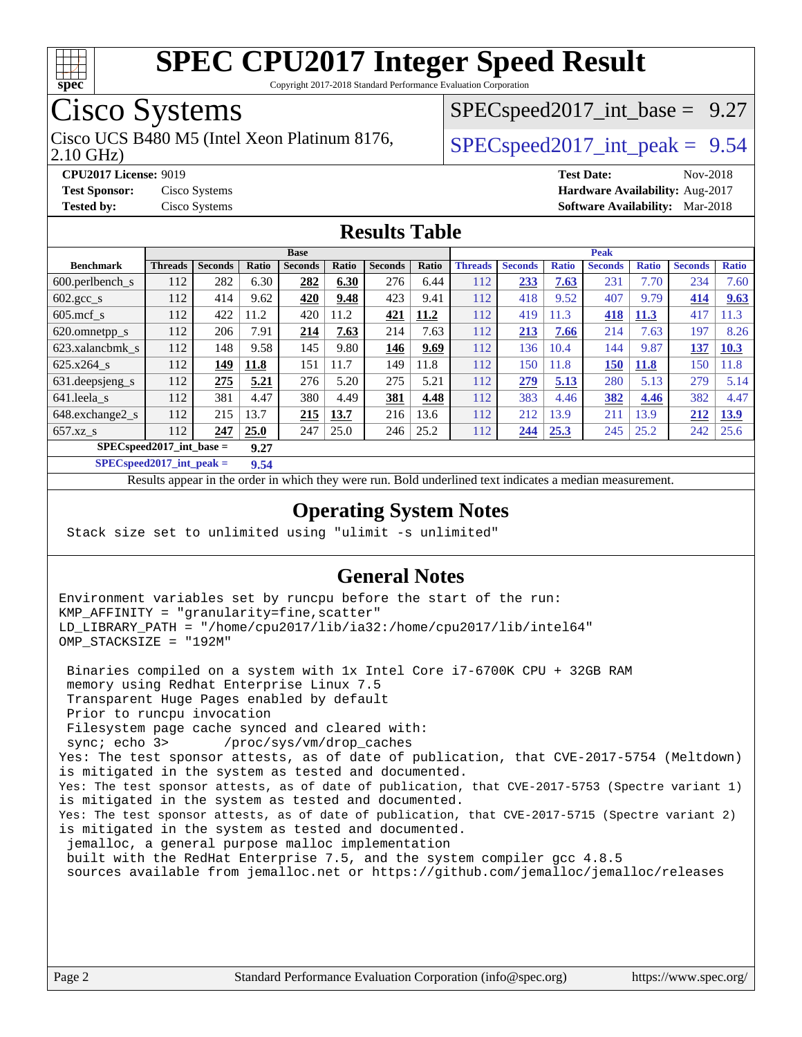

Copyright 2017-2018 Standard Performance Evaluation Corporation

## Cisco Systems

2.10 GHz) Cisco UCS B480 M5 (Intel Xeon Platinum 8176,  $\vert$  [SPECspeed2017\\_int\\_peak =](http://www.spec.org/auto/cpu2017/Docs/result-fields.html#SPECspeed2017intpeak) 9.54

 $SPECspeed2017\_int\_base = 9.27$ 

**[CPU2017 License:](http://www.spec.org/auto/cpu2017/Docs/result-fields.html#CPU2017License)** 9019 **[Test Date:](http://www.spec.org/auto/cpu2017/Docs/result-fields.html#TestDate)** Nov-2018 **[Test Sponsor:](http://www.spec.org/auto/cpu2017/Docs/result-fields.html#TestSponsor)** Cisco Systems **[Hardware Availability:](http://www.spec.org/auto/cpu2017/Docs/result-fields.html#HardwareAvailability)** Aug-2017 **[Tested by:](http://www.spec.org/auto/cpu2017/Docs/result-fields.html#Testedby)** Cisco Systems **[Software Availability:](http://www.spec.org/auto/cpu2017/Docs/result-fields.html#SoftwareAvailability)** Mar-2018

#### **[Results Table](http://www.spec.org/auto/cpu2017/Docs/result-fields.html#ResultsTable)**

|                                     | <b>Base</b>    |                |       |                |       |                | <b>Peak</b> |                |                |              |                |              |                |              |
|-------------------------------------|----------------|----------------|-------|----------------|-------|----------------|-------------|----------------|----------------|--------------|----------------|--------------|----------------|--------------|
| <b>Benchmark</b>                    | <b>Threads</b> | <b>Seconds</b> | Ratio | <b>Seconds</b> | Ratio | <b>Seconds</b> | Ratio       | <b>Threads</b> | <b>Seconds</b> | <b>Ratio</b> | <b>Seconds</b> | <b>Ratio</b> | <b>Seconds</b> | <b>Ratio</b> |
| 600.perlbench s                     | 112            | 282            | 6.30  | 282            | 6.30  | 276            | 6.44        | 112            | 233            | 7.63         | 231            | 7.70         | 234            | 7.60         |
| $602 \text{.} \text{gcc}\text{.}$ s | 112            | 414            | 9.62  | 420            | 9.48  | 423            | 9.41        | 112            | 418            | 9.52         | 407            | 9.79         | 414            | 9.63         |
| $605 \text{.mcf}$ s                 | 112            | 422            | 11.2  | 420            | 11.2  | 421            | 11.2        | 112            | 419            | 11.3         | 418            | 11.3         | 417            | 1.3          |
| 620.omnetpp_s                       | 112            | 206            | 7.91  | 214            | 7.63  | 214            | 7.63        | 112            | 213            | 7.66         | 214            | 7.63         | 197            | 8.26         |
| 623.xalancbmk s                     | 112            | 148            | 9.58  | 145            | 9.80  | 146            | 9.69        | 112            | 136            | 10.4         | 144            | 9.87         | 137            | 10.3         |
| $625.x264$ s                        | 112            | 149            | 11.8  | 151            | 11.7  | 149            | 11.8        | 112            | 150            | 11.8         | 150            | <b>11.8</b>  | 150            | 11.8         |
| 631. deepsjeng_s                    | 112            | 275            | 5.21  | 276            | 5.20  | 275            | 5.21        | 112            | 279            | 5.13         | 280            | 5.13         | 279            | 5.14         |
| 641.leela s                         | 112            | 381            | 4.47  | 380            | 4.49  | 381            | 4.48        | 112            | 383            | 4.46         | 382            | 4.46         | 382            | 4.47         |
| 648.exchange2 s                     | 112            | 215            | 13.7  | 215            | 13.7  | 216            | 13.6        | 112            | 212            | 13.9         | 211            | 3.9          | 212            | 13.9         |
| $657.xz$ <sub>S</sub>               | 112            | 247            | 25.0  | 247            | 25.0  | 246            | 25.2        | 112            | 244            | 25.3         | 245            | 25.2         | 242            | 25.6         |
| $SPEC speed2017$ int base =         |                |                | 9.27  |                |       |                |             |                |                |              |                |              |                |              |

**[SPECspeed2017\\_int\\_peak =](http://www.spec.org/auto/cpu2017/Docs/result-fields.html#SPECspeed2017intpeak) 9.54**

Results appear in the [order in which they were run.](http://www.spec.org/auto/cpu2017/Docs/result-fields.html#RunOrder) Bold underlined text [indicates a median measurement](http://www.spec.org/auto/cpu2017/Docs/result-fields.html#Median).

#### **[Operating System Notes](http://www.spec.org/auto/cpu2017/Docs/result-fields.html#OperatingSystemNotes)**

Stack size set to unlimited using "ulimit -s unlimited"

#### **[General Notes](http://www.spec.org/auto/cpu2017/Docs/result-fields.html#GeneralNotes)**

Environment variables set by runcpu before the start of the run: KMP\_AFFINITY = "granularity=fine,scatter" LD\_LIBRARY\_PATH = "/home/cpu2017/lib/ia32:/home/cpu2017/lib/intel64" OMP\_STACKSIZE = "192M"

 Binaries compiled on a system with 1x Intel Core i7-6700K CPU + 32GB RAM memory using Redhat Enterprise Linux 7.5 Transparent Huge Pages enabled by default Prior to runcpu invocation Filesystem page cache synced and cleared with: sync; echo 3> /proc/sys/vm/drop\_caches Yes: The test sponsor attests, as of date of publication, that CVE-2017-5754 (Meltdown) is mitigated in the system as tested and documented. Yes: The test sponsor attests, as of date of publication, that CVE-2017-5753 (Spectre variant 1) is mitigated in the system as tested and documented. Yes: The test sponsor attests, as of date of publication, that CVE-2017-5715 (Spectre variant 2) is mitigated in the system as tested and documented. jemalloc, a general purpose malloc implementation built with the RedHat Enterprise 7.5, and the system compiler gcc 4.8.5 sources available from jemalloc.net or<https://github.com/jemalloc/jemalloc/releases>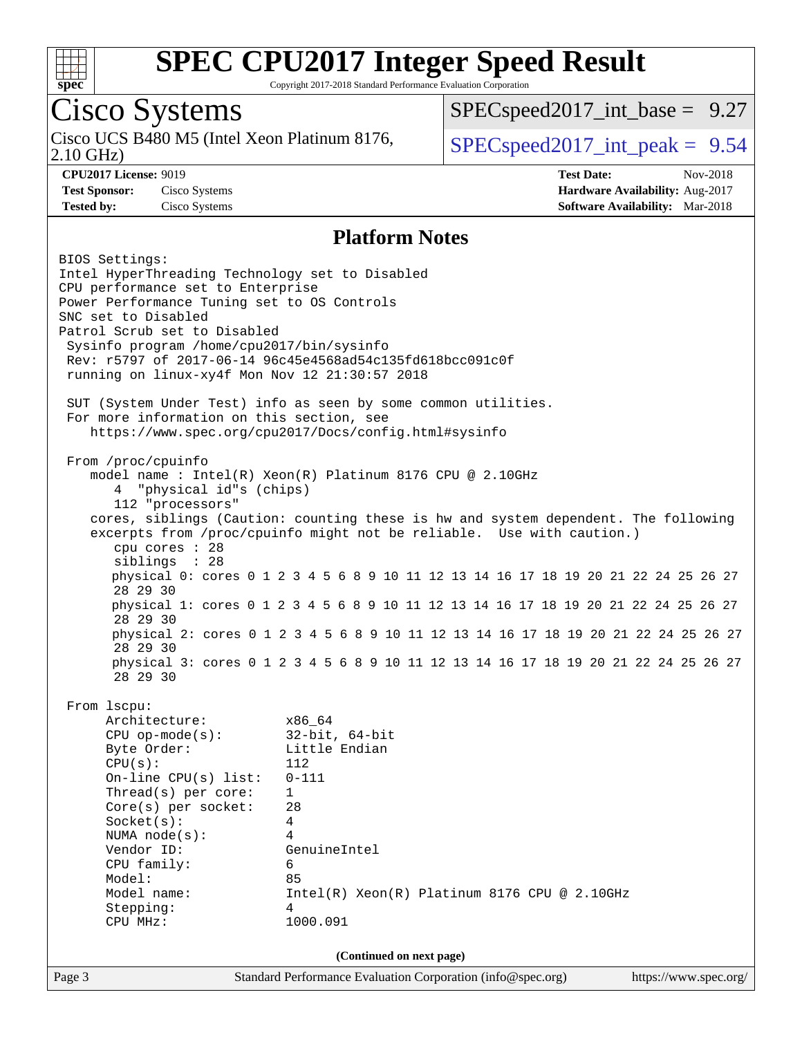

Copyright 2017-2018 Standard Performance Evaluation Corporation

## Cisco Systems

2.10 GHz) Cisco UCS B480 M5 (Intel Xeon Platinum 8176,  $\vert$  [SPECspeed2017\\_int\\_peak =](http://www.spec.org/auto/cpu2017/Docs/result-fields.html#SPECspeed2017intpeak) 9.54

 $SPECspeed2017\_int\_base = 9.27$ 

**[CPU2017 License:](http://www.spec.org/auto/cpu2017/Docs/result-fields.html#CPU2017License)** 9019 **[Test Date:](http://www.spec.org/auto/cpu2017/Docs/result-fields.html#TestDate)** Nov-2018 **[Test Sponsor:](http://www.spec.org/auto/cpu2017/Docs/result-fields.html#TestSponsor)** Cisco Systems **[Hardware Availability:](http://www.spec.org/auto/cpu2017/Docs/result-fields.html#HardwareAvailability)** Aug-2017 **[Tested by:](http://www.spec.org/auto/cpu2017/Docs/result-fields.html#Testedby)** Cisco Systems **[Software Availability:](http://www.spec.org/auto/cpu2017/Docs/result-fields.html#SoftwareAvailability)** Mar-2018

#### **[Platform Notes](http://www.spec.org/auto/cpu2017/Docs/result-fields.html#PlatformNotes)**

Page 3 Standard Performance Evaluation Corporation [\(info@spec.org\)](mailto:info@spec.org) <https://www.spec.org/> BIOS Settings: Intel HyperThreading Technology set to Disabled CPU performance set to Enterprise Power Performance Tuning set to OS Controls SNC set to Disabled Patrol Scrub set to Disabled Sysinfo program /home/cpu2017/bin/sysinfo Rev: r5797 of 2017-06-14 96c45e4568ad54c135fd618bcc091c0f running on linux-xy4f Mon Nov 12 21:30:57 2018 SUT (System Under Test) info as seen by some common utilities. For more information on this section, see <https://www.spec.org/cpu2017/Docs/config.html#sysinfo> From /proc/cpuinfo model name : Intel(R) Xeon(R) Platinum 8176 CPU @ 2.10GHz 4 "physical id"s (chips) 112 "processors" cores, siblings (Caution: counting these is hw and system dependent. The following excerpts from /proc/cpuinfo might not be reliable. Use with caution.) cpu cores : 28 siblings : 28 physical 0: cores 0 1 2 3 4 5 6 8 9 10 11 12 13 14 16 17 18 19 20 21 22 24 25 26 27 28 29 30 physical 1: cores 0 1 2 3 4 5 6 8 9 10 11 12 13 14 16 17 18 19 20 21 22 24 25 26 27 28 29 30 physical 2: cores 0 1 2 3 4 5 6 8 9 10 11 12 13 14 16 17 18 19 20 21 22 24 25 26 27 28 29 30 physical 3: cores 0 1 2 3 4 5 6 8 9 10 11 12 13 14 16 17 18 19 20 21 22 24 25 26 27 28 29 30 From lscpu: Architecture: x86\_64 CPU op-mode(s): 32-bit, 64-bit Byte Order: Little Endian CPU(s): 112 On-line CPU(s) list: 0-111 Thread(s) per core: 1 Core(s) per socket: 28 Socket(s): 4 NUMA node(s): 4 Vendor ID: GenuineIntel CPU family: 6 Model: 85 Model name:  $Intel(R)$  Xeon(R) Platinum 8176 CPU @ 2.10GHz Stepping: 4 CPU MHz: 1000.091 **(Continued on next page)**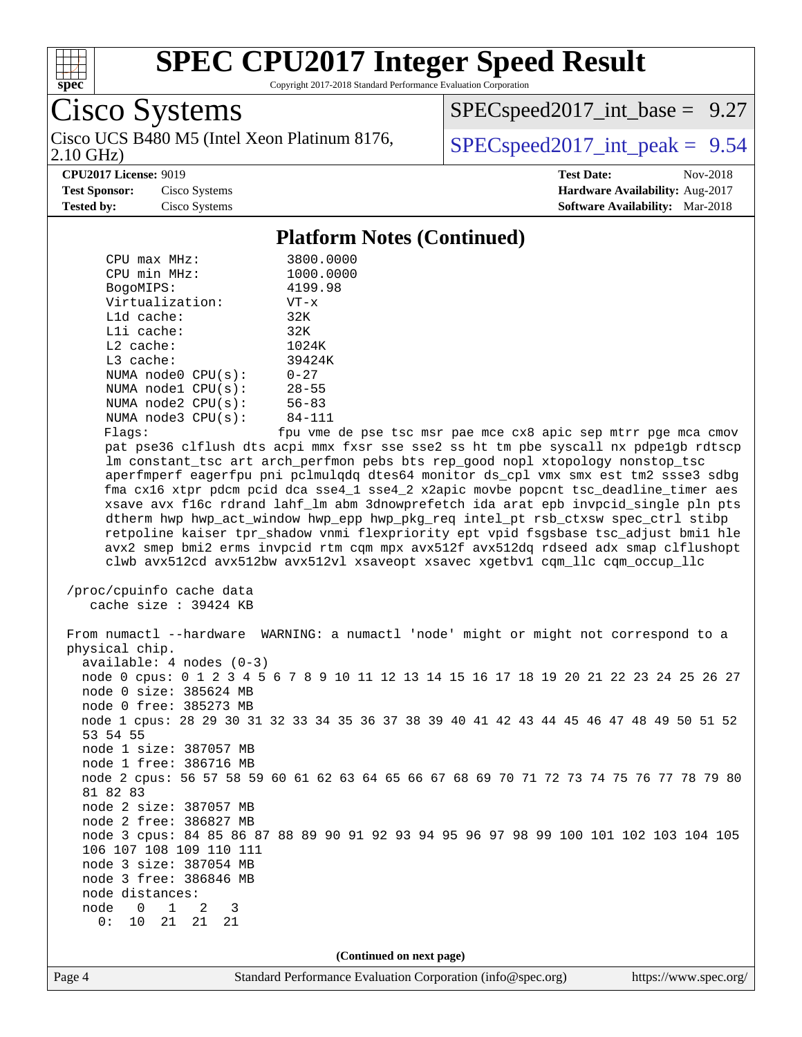

Copyright 2017-2018 Standard Performance Evaluation Corporation

Cisco Systems

2.10 GHz) Cisco UCS B480 M5 (Intel Xeon Platinum 8176,  $\vert$  [SPECspeed2017\\_int\\_peak =](http://www.spec.org/auto/cpu2017/Docs/result-fields.html#SPECspeed2017intpeak) 9.54

 $SPECspeed2017\_int\_base = 9.27$ 

**[CPU2017 License:](http://www.spec.org/auto/cpu2017/Docs/result-fields.html#CPU2017License)** 9019 **[Test Date:](http://www.spec.org/auto/cpu2017/Docs/result-fields.html#TestDate)** Nov-2018

**[Test Sponsor:](http://www.spec.org/auto/cpu2017/Docs/result-fields.html#TestSponsor)** Cisco Systems **[Hardware Availability:](http://www.spec.org/auto/cpu2017/Docs/result-fields.html#HardwareAvailability)** Aug-2017 **[Tested by:](http://www.spec.org/auto/cpu2017/Docs/result-fields.html#Testedby)** Cisco Systems **[Software Availability:](http://www.spec.org/auto/cpu2017/Docs/result-fields.html#SoftwareAvailability)** Mar-2018

#### **[Platform Notes \(Continued\)](http://www.spec.org/auto/cpu2017/Docs/result-fields.html#PlatformNotes)**

| CPU max MHz:            | 3800.0000  |
|-------------------------|------------|
| CPU min MHz:            | 1000.0000  |
| BogoMIPS:               | 4199.98    |
| Virtualization:         | $VT - x$   |
| $L1d$ cache:            | 32K        |
| Lli cache:              | 32K        |
| $L2$ cache:             | 1024K      |
| $L3$ cache:             | 39424K     |
| NUMA $node0$ $CPU(s)$ : | $0 - 27$   |
| NUMA $node1$ $CPU(s)$ : | $28 - 55$  |
| NUMA $node2$ $CPU(s)$ : | $56 - 83$  |
| NUMA $node3$ $CPU(s)$ : | $84 - 111$ |
| Flaos:                  | fnu vme de |

fpu vme de pse tsc msr pae mce cx8 apic sep mtrr pge mca cmov pat pse36 clflush dts acpi mmx fxsr sse sse2 ss ht tm pbe syscall nx pdpe1gb rdtscp lm constant\_tsc art arch\_perfmon pebs bts rep\_good nopl xtopology nonstop\_tsc aperfmperf eagerfpu pni pclmulqdq dtes64 monitor ds\_cpl vmx smx est tm2 ssse3 sdbg fma cx16 xtpr pdcm pcid dca sse4\_1 sse4\_2 x2apic movbe popcnt tsc\_deadline\_timer aes xsave avx f16c rdrand lahf\_lm abm 3dnowprefetch ida arat epb invpcid\_single pln pts dtherm hwp hwp\_act\_window hwp\_epp hwp\_pkg\_req intel\_pt rsb\_ctxsw spec\_ctrl stibp retpoline kaiser tpr\_shadow vnmi flexpriority ept vpid fsgsbase tsc\_adjust bmi1 hle avx2 smep bmi2 erms invpcid rtm cqm mpx avx512f avx512dq rdseed adx smap clflushopt clwb avx512cd avx512bw avx512vl xsaveopt xsavec xgetbv1 cqm\_llc cqm\_occup\_llc

```
 /proc/cpuinfo cache data
   cache size : 39424 KB
```
 From numactl --hardware WARNING: a numactl 'node' might or might not correspond to a physical chip. available: 4 nodes (0-3) node 0 cpus: 0 1 2 3 4 5 6 7 8 9 10 11 12 13 14 15 16 17 18 19 20 21 22 23 24 25 26 27 node 0 size: 385624 MB node 0 free: 385273 MB node 1 cpus: 28 29 30 31 32 33 34 35 36 37 38 39 40 41 42 43 44 45 46 47 48 49 50 51 52 53 54 55 node 1 size: 387057 MB node 1 free: 386716 MB node 2 cpus: 56 57 58 59 60 61 62 63 64 65 66 67 68 69 70 71 72 73 74 75 76 77 78 79 80 81 82 83 node 2 size: 387057 MB node 2 free: 386827 MB node 3 cpus: 84 85 86 87 88 89 90 91 92 93 94 95 96 97 98 99 100 101 102 103 104 105 106 107 108 109 110 111 node 3 size: 387054 MB node 3 free: 386846 MB node distances: node 0 1 2 3 0: 10 21 21 21

**(Continued on next page)**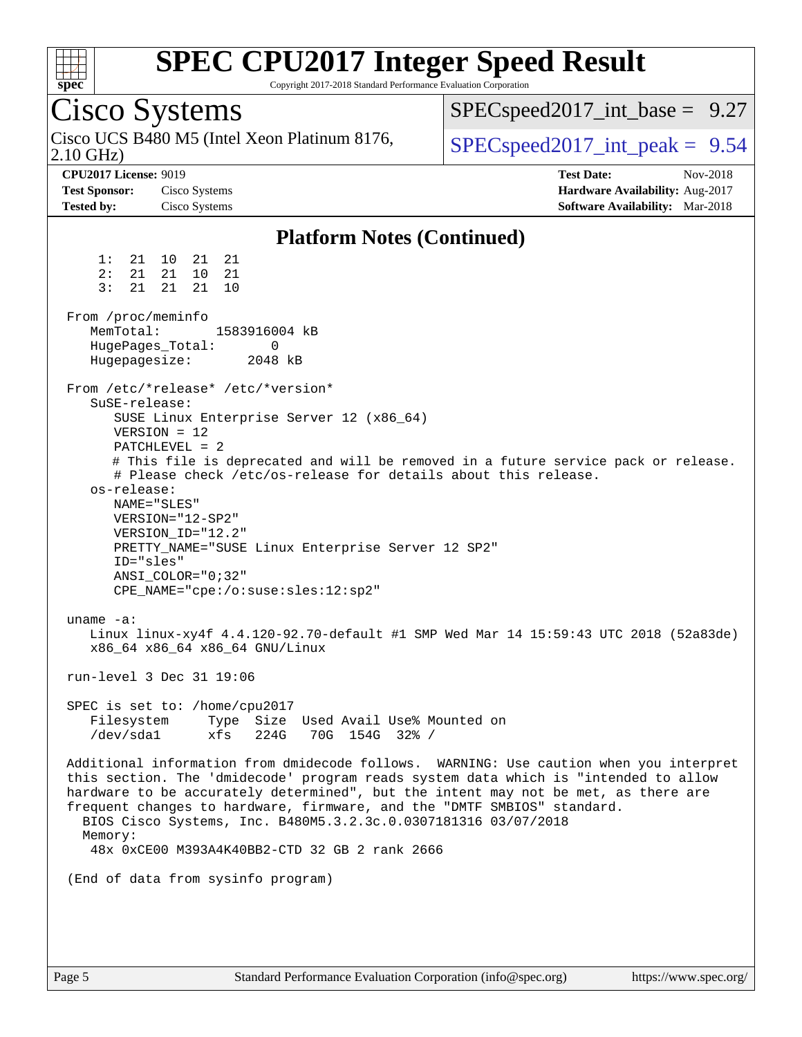

Copyright 2017-2018 Standard Performance Evaluation Corporation

Cisco Systems 2.10 GHz) Cisco UCS B480 M5 (Intel Xeon Platinum 8176,  $\vert$  [SPECspeed2017\\_int\\_peak =](http://www.spec.org/auto/cpu2017/Docs/result-fields.html#SPECspeed2017intpeak) 9.54  $SPECspeed2017\_int\_base = 9.27$ **[CPU2017 License:](http://www.spec.org/auto/cpu2017/Docs/result-fields.html#CPU2017License)** 9019 **[Test Date:](http://www.spec.org/auto/cpu2017/Docs/result-fields.html#TestDate)** Nov-2018 **[Test Sponsor:](http://www.spec.org/auto/cpu2017/Docs/result-fields.html#TestSponsor)** Cisco Systems **[Hardware Availability:](http://www.spec.org/auto/cpu2017/Docs/result-fields.html#HardwareAvailability)** Aug-2017 **[Tested by:](http://www.spec.org/auto/cpu2017/Docs/result-fields.html#Testedby)** Cisco Systems **[Software Availability:](http://www.spec.org/auto/cpu2017/Docs/result-fields.html#SoftwareAvailability)** Mar-2018 **[Platform Notes \(Continued\)](http://www.spec.org/auto/cpu2017/Docs/result-fields.html#PlatformNotes)** 1: 21 10 21 21 2: 21 21 10 21 3: 21 21 21 10 From /proc/meminfo MemTotal: 1583916004 kB HugePages\_Total: 0 Hugepagesize: 2048 kB From /etc/\*release\* /etc/\*version\* SuSE-release: SUSE Linux Enterprise Server 12 (x86\_64) VERSION = 12  $PATCHI$  FVEL  $= 2$  # This file is deprecated and will be removed in a future service pack or release. # Please check /etc/os-release for details about this release. os-release: NAME="SLES" VERSION="12-SP2" VERSION\_ID="12.2" PRETTY\_NAME="SUSE Linux Enterprise Server 12 SP2" ID="sles" ANSI\_COLOR="0;32" CPE\_NAME="cpe:/o:suse:sles:12:sp2" uname -a: Linux linux-xy4f 4.4.120-92.70-default #1 SMP Wed Mar 14 15:59:43 UTC 2018 (52a83de) x86\_64 x86\_64 x86\_64 GNU/Linux run-level 3 Dec 31 19:06 SPEC is set to: /home/cpu2017 Filesystem Type Size Used Avail Use% Mounted on /dev/sda1 xfs 224G 70G 154G 32% / Additional information from dmidecode follows. WARNING: Use caution when you interpret this section. The 'dmidecode' program reads system data which is "intended to allow hardware to be accurately determined", but the intent may not be met, as there are frequent changes to hardware, firmware, and the "DMTF SMBIOS" standard. BIOS Cisco Systems, Inc. B480M5.3.2.3c.0.0307181316 03/07/2018 Memory: 48x 0xCE00 M393A4K40BB2-CTD 32 GB 2 rank 2666 (End of data from sysinfo program)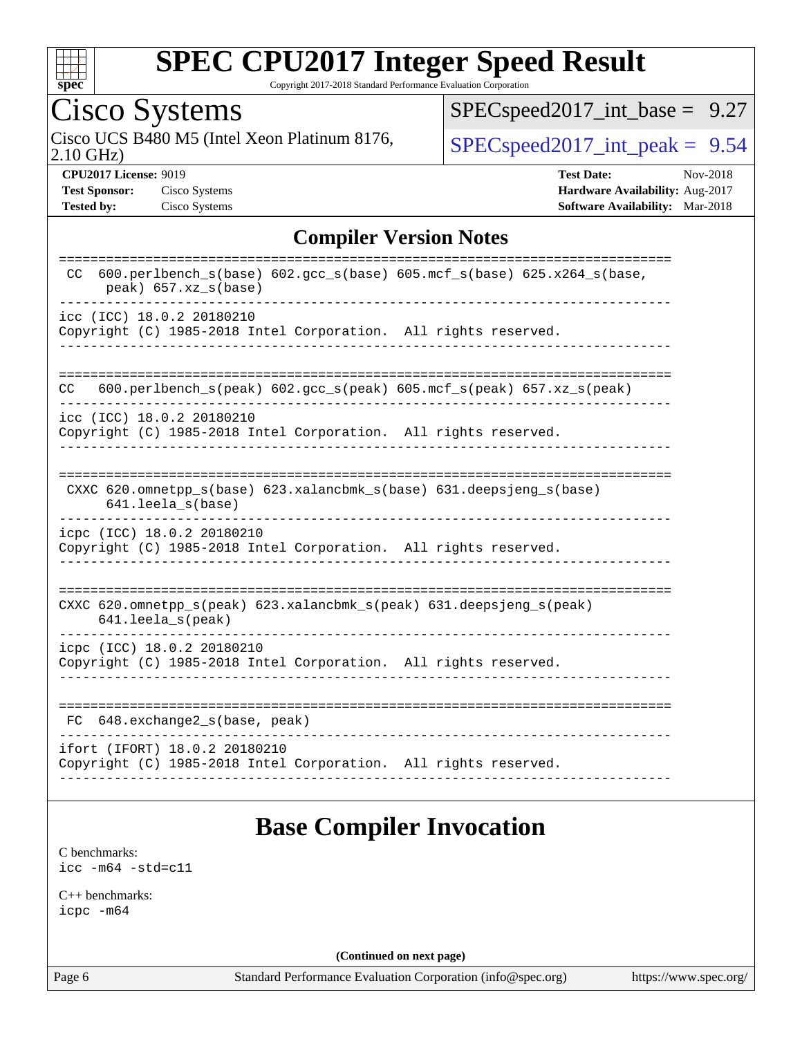

Copyright 2017-2018 Standard Performance Evaluation Corporation

## Cisco Systems

2.10 GHz) Cisco UCS B480 M5 (Intel Xeon Platinum 8176,  $\boxed{\text{SPEC speed2017\_int\_peak = 9.54}}$ 

[SPECspeed2017\\_int\\_base =](http://www.spec.org/auto/cpu2017/Docs/result-fields.html#SPECspeed2017intbase) 9.27

**[CPU2017 License:](http://www.spec.org/auto/cpu2017/Docs/result-fields.html#CPU2017License)** 9019 **[Test Date:](http://www.spec.org/auto/cpu2017/Docs/result-fields.html#TestDate)** Nov-2018 **[Test Sponsor:](http://www.spec.org/auto/cpu2017/Docs/result-fields.html#TestSponsor)** Cisco Systems **[Hardware Availability:](http://www.spec.org/auto/cpu2017/Docs/result-fields.html#HardwareAvailability)** Aug-2017 **[Tested by:](http://www.spec.org/auto/cpu2017/Docs/result-fields.html#Testedby)** Cisco Systems **[Software Availability:](http://www.spec.org/auto/cpu2017/Docs/result-fields.html#SoftwareAvailability)** Mar-2018

#### **[Compiler Version Notes](http://www.spec.org/auto/cpu2017/Docs/result-fields.html#CompilerVersionNotes)**

| 600.perlbench_s(base) 602.gcc_s(base) 605.mcf_s(base) 625.x264_s(base,<br>CC.<br>peak) 657.xz_s(base) |
|-------------------------------------------------------------------------------------------------------|
| icc (ICC) 18.0.2 20180210<br>Copyright (C) 1985-2018 Intel Corporation. All rights reserved.          |
| 600.perlbench $s$ (peak) 602.gcc $s$ (peak) 605.mcf $s$ (peak) 657.xz $s$ (peak)<br>CC                |
| icc (ICC) 18.0.2 20180210<br>Copyright (C) 1985-2018 Intel Corporation. All rights reserved.          |
| CXXC 620.omnetpp_s(base) 623.xalancbmk_s(base) 631.deepsjeng_s(base)<br>641.leela s(base)             |
| icpc (ICC) 18.0.2 20180210<br>Copyright (C) 1985-2018 Intel Corporation. All rights reserved.         |
| CXXC 620.omnetpp_s(peak) 623.xalancbmk_s(peak) 631.deepsjeng_s(peak)<br>$641.$ leela_s(peak)          |
| icpc (ICC) 18.0.2 20180210<br>Copyright (C) 1985-2018 Intel Corporation. All rights reserved.         |
| 648.exchange2_s(base, peak)<br>FC                                                                     |
| ifort (IFORT) 18.0.2 20180210<br>Copyright (C) 1985-2018 Intel Corporation. All rights reserved.      |

#### **[Base Compiler Invocation](http://www.spec.org/auto/cpu2017/Docs/result-fields.html#BaseCompilerInvocation)**

[C benchmarks](http://www.spec.org/auto/cpu2017/Docs/result-fields.html#Cbenchmarks): [icc -m64 -std=c11](http://www.spec.org/cpu2017/results/res2018q4/cpu2017-20181211-10301.flags.html#user_CCbase_intel_icc_64bit_c11_33ee0cdaae7deeeab2a9725423ba97205ce30f63b9926c2519791662299b76a0318f32ddfffdc46587804de3178b4f9328c46fa7c2b0cd779d7a61945c91cd35)

[C++ benchmarks:](http://www.spec.org/auto/cpu2017/Docs/result-fields.html#CXXbenchmarks) [icpc -m64](http://www.spec.org/cpu2017/results/res2018q4/cpu2017-20181211-10301.flags.html#user_CXXbase_intel_icpc_64bit_4ecb2543ae3f1412ef961e0650ca070fec7b7afdcd6ed48761b84423119d1bf6bdf5cad15b44d48e7256388bc77273b966e5eb805aefd121eb22e9299b2ec9d9)

**(Continued on next page)**

Page 6 Standard Performance Evaluation Corporation [\(info@spec.org\)](mailto:info@spec.org) <https://www.spec.org/>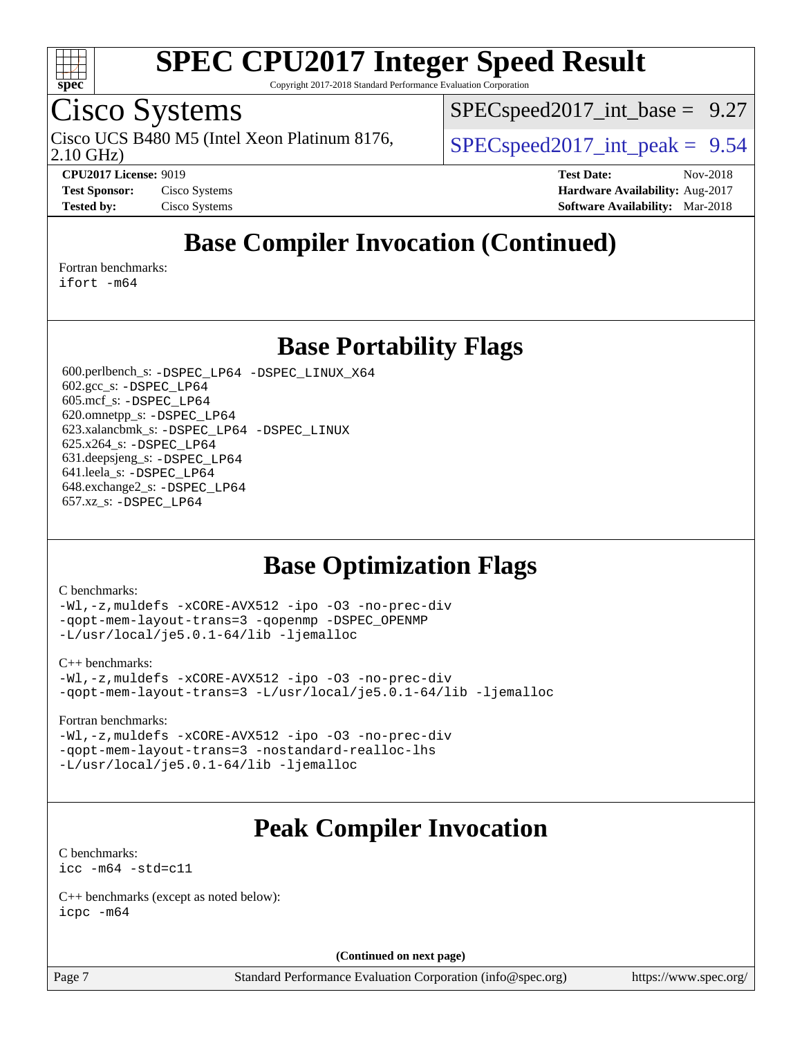

Copyright 2017-2018 Standard Performance Evaluation Corporation

### Cisco Systems

2.10 GHz) Cisco UCS B480 M5 (Intel Xeon Platinum 8176,  $\vert$  [SPECspeed2017\\_int\\_peak =](http://www.spec.org/auto/cpu2017/Docs/result-fields.html#SPECspeed2017intpeak) 9.54

 $SPECspeed2017\_int\_base = 9.27$ 

**[CPU2017 License:](http://www.spec.org/auto/cpu2017/Docs/result-fields.html#CPU2017License)** 9019 **[Test Date:](http://www.spec.org/auto/cpu2017/Docs/result-fields.html#TestDate)** Nov-2018 **[Test Sponsor:](http://www.spec.org/auto/cpu2017/Docs/result-fields.html#TestSponsor)** Cisco Systems **Cisco Systems [Hardware Availability:](http://www.spec.org/auto/cpu2017/Docs/result-fields.html#HardwareAvailability)** Aug-2017 **[Tested by:](http://www.spec.org/auto/cpu2017/Docs/result-fields.html#Testedby)** Cisco Systems **[Software Availability:](http://www.spec.org/auto/cpu2017/Docs/result-fields.html#SoftwareAvailability)** Mar-2018

### **[Base Compiler Invocation \(Continued\)](http://www.spec.org/auto/cpu2017/Docs/result-fields.html#BaseCompilerInvocation)**

[Fortran benchmarks](http://www.spec.org/auto/cpu2017/Docs/result-fields.html#Fortranbenchmarks):

[ifort -m64](http://www.spec.org/cpu2017/results/res2018q4/cpu2017-20181211-10301.flags.html#user_FCbase_intel_ifort_64bit_24f2bb282fbaeffd6157abe4f878425411749daecae9a33200eee2bee2fe76f3b89351d69a8130dd5949958ce389cf37ff59a95e7a40d588e8d3a57e0c3fd751)

**[Base Portability Flags](http://www.spec.org/auto/cpu2017/Docs/result-fields.html#BasePortabilityFlags)**

 600.perlbench\_s: [-DSPEC\\_LP64](http://www.spec.org/cpu2017/results/res2018q4/cpu2017-20181211-10301.flags.html#b600.perlbench_s_basePORTABILITY_DSPEC_LP64) [-DSPEC\\_LINUX\\_X64](http://www.spec.org/cpu2017/results/res2018q4/cpu2017-20181211-10301.flags.html#b600.perlbench_s_baseCPORTABILITY_DSPEC_LINUX_X64) 602.gcc\_s: [-DSPEC\\_LP64](http://www.spec.org/cpu2017/results/res2018q4/cpu2017-20181211-10301.flags.html#suite_basePORTABILITY602_gcc_s_DSPEC_LP64) 605.mcf\_s: [-DSPEC\\_LP64](http://www.spec.org/cpu2017/results/res2018q4/cpu2017-20181211-10301.flags.html#suite_basePORTABILITY605_mcf_s_DSPEC_LP64) 620.omnetpp\_s: [-DSPEC\\_LP64](http://www.spec.org/cpu2017/results/res2018q4/cpu2017-20181211-10301.flags.html#suite_basePORTABILITY620_omnetpp_s_DSPEC_LP64) 623.xalancbmk\_s: [-DSPEC\\_LP64](http://www.spec.org/cpu2017/results/res2018q4/cpu2017-20181211-10301.flags.html#suite_basePORTABILITY623_xalancbmk_s_DSPEC_LP64) [-DSPEC\\_LINUX](http://www.spec.org/cpu2017/results/res2018q4/cpu2017-20181211-10301.flags.html#b623.xalancbmk_s_baseCXXPORTABILITY_DSPEC_LINUX) 625.x264\_s: [-DSPEC\\_LP64](http://www.spec.org/cpu2017/results/res2018q4/cpu2017-20181211-10301.flags.html#suite_basePORTABILITY625_x264_s_DSPEC_LP64) 631.deepsjeng\_s: [-DSPEC\\_LP64](http://www.spec.org/cpu2017/results/res2018q4/cpu2017-20181211-10301.flags.html#suite_basePORTABILITY631_deepsjeng_s_DSPEC_LP64) 641.leela\_s: [-DSPEC\\_LP64](http://www.spec.org/cpu2017/results/res2018q4/cpu2017-20181211-10301.flags.html#suite_basePORTABILITY641_leela_s_DSPEC_LP64) 648.exchange2\_s: [-DSPEC\\_LP64](http://www.spec.org/cpu2017/results/res2018q4/cpu2017-20181211-10301.flags.html#suite_basePORTABILITY648_exchange2_s_DSPEC_LP64) 657.xz\_s: [-DSPEC\\_LP64](http://www.spec.org/cpu2017/results/res2018q4/cpu2017-20181211-10301.flags.html#suite_basePORTABILITY657_xz_s_DSPEC_LP64)

#### **[Base Optimization Flags](http://www.spec.org/auto/cpu2017/Docs/result-fields.html#BaseOptimizationFlags)**

#### [C benchmarks](http://www.spec.org/auto/cpu2017/Docs/result-fields.html#Cbenchmarks):

[-Wl,-z,muldefs](http://www.spec.org/cpu2017/results/res2018q4/cpu2017-20181211-10301.flags.html#user_CCbase_link_force_multiple1_b4cbdb97b34bdee9ceefcfe54f4c8ea74255f0b02a4b23e853cdb0e18eb4525ac79b5a88067c842dd0ee6996c24547a27a4b99331201badda8798ef8a743f577) [-xCORE-AVX512](http://www.spec.org/cpu2017/results/res2018q4/cpu2017-20181211-10301.flags.html#user_CCbase_f-xCORE-AVX512) [-ipo](http://www.spec.org/cpu2017/results/res2018q4/cpu2017-20181211-10301.flags.html#user_CCbase_f-ipo) [-O3](http://www.spec.org/cpu2017/results/res2018q4/cpu2017-20181211-10301.flags.html#user_CCbase_f-O3) [-no-prec-div](http://www.spec.org/cpu2017/results/res2018q4/cpu2017-20181211-10301.flags.html#user_CCbase_f-no-prec-div) [-qopt-mem-layout-trans=3](http://www.spec.org/cpu2017/results/res2018q4/cpu2017-20181211-10301.flags.html#user_CCbase_f-qopt-mem-layout-trans_de80db37974c74b1f0e20d883f0b675c88c3b01e9d123adea9b28688d64333345fb62bc4a798493513fdb68f60282f9a726aa07f478b2f7113531aecce732043) [-qopenmp](http://www.spec.org/cpu2017/results/res2018q4/cpu2017-20181211-10301.flags.html#user_CCbase_qopenmp_16be0c44f24f464004c6784a7acb94aca937f053568ce72f94b139a11c7c168634a55f6653758ddd83bcf7b8463e8028bb0b48b77bcddc6b78d5d95bb1df2967) [-DSPEC\\_OPENMP](http://www.spec.org/cpu2017/results/res2018q4/cpu2017-20181211-10301.flags.html#suite_CCbase_DSPEC_OPENMP) [-L/usr/local/je5.0.1-64/lib](http://www.spec.org/cpu2017/results/res2018q4/cpu2017-20181211-10301.flags.html#user_CCbase_jemalloc_link_path64_4b10a636b7bce113509b17f3bd0d6226c5fb2346b9178c2d0232c14f04ab830f976640479e5c33dc2bcbbdad86ecfb6634cbbd4418746f06f368b512fced5394) [-ljemalloc](http://www.spec.org/cpu2017/results/res2018q4/cpu2017-20181211-10301.flags.html#user_CCbase_jemalloc_link_lib_d1249b907c500fa1c0672f44f562e3d0f79738ae9e3c4a9c376d49f265a04b9c99b167ecedbf6711b3085be911c67ff61f150a17b3472be731631ba4d0471706)

#### [C++ benchmarks:](http://www.spec.org/auto/cpu2017/Docs/result-fields.html#CXXbenchmarks)

[-Wl,-z,muldefs](http://www.spec.org/cpu2017/results/res2018q4/cpu2017-20181211-10301.flags.html#user_CXXbase_link_force_multiple1_b4cbdb97b34bdee9ceefcfe54f4c8ea74255f0b02a4b23e853cdb0e18eb4525ac79b5a88067c842dd0ee6996c24547a27a4b99331201badda8798ef8a743f577) [-xCORE-AVX512](http://www.spec.org/cpu2017/results/res2018q4/cpu2017-20181211-10301.flags.html#user_CXXbase_f-xCORE-AVX512) [-ipo](http://www.spec.org/cpu2017/results/res2018q4/cpu2017-20181211-10301.flags.html#user_CXXbase_f-ipo) [-O3](http://www.spec.org/cpu2017/results/res2018q4/cpu2017-20181211-10301.flags.html#user_CXXbase_f-O3) [-no-prec-div](http://www.spec.org/cpu2017/results/res2018q4/cpu2017-20181211-10301.flags.html#user_CXXbase_f-no-prec-div) [-qopt-mem-layout-trans=3](http://www.spec.org/cpu2017/results/res2018q4/cpu2017-20181211-10301.flags.html#user_CXXbase_f-qopt-mem-layout-trans_de80db37974c74b1f0e20d883f0b675c88c3b01e9d123adea9b28688d64333345fb62bc4a798493513fdb68f60282f9a726aa07f478b2f7113531aecce732043) [-L/usr/local/je5.0.1-64/lib](http://www.spec.org/cpu2017/results/res2018q4/cpu2017-20181211-10301.flags.html#user_CXXbase_jemalloc_link_path64_4b10a636b7bce113509b17f3bd0d6226c5fb2346b9178c2d0232c14f04ab830f976640479e5c33dc2bcbbdad86ecfb6634cbbd4418746f06f368b512fced5394) [-ljemalloc](http://www.spec.org/cpu2017/results/res2018q4/cpu2017-20181211-10301.flags.html#user_CXXbase_jemalloc_link_lib_d1249b907c500fa1c0672f44f562e3d0f79738ae9e3c4a9c376d49f265a04b9c99b167ecedbf6711b3085be911c67ff61f150a17b3472be731631ba4d0471706)

#### [Fortran benchmarks](http://www.spec.org/auto/cpu2017/Docs/result-fields.html#Fortranbenchmarks):

[-Wl,-z,muldefs](http://www.spec.org/cpu2017/results/res2018q4/cpu2017-20181211-10301.flags.html#user_FCbase_link_force_multiple1_b4cbdb97b34bdee9ceefcfe54f4c8ea74255f0b02a4b23e853cdb0e18eb4525ac79b5a88067c842dd0ee6996c24547a27a4b99331201badda8798ef8a743f577) [-xCORE-AVX512](http://www.spec.org/cpu2017/results/res2018q4/cpu2017-20181211-10301.flags.html#user_FCbase_f-xCORE-AVX512) [-ipo](http://www.spec.org/cpu2017/results/res2018q4/cpu2017-20181211-10301.flags.html#user_FCbase_f-ipo) [-O3](http://www.spec.org/cpu2017/results/res2018q4/cpu2017-20181211-10301.flags.html#user_FCbase_f-O3) [-no-prec-div](http://www.spec.org/cpu2017/results/res2018q4/cpu2017-20181211-10301.flags.html#user_FCbase_f-no-prec-div) [-qopt-mem-layout-trans=3](http://www.spec.org/cpu2017/results/res2018q4/cpu2017-20181211-10301.flags.html#user_FCbase_f-qopt-mem-layout-trans_de80db37974c74b1f0e20d883f0b675c88c3b01e9d123adea9b28688d64333345fb62bc4a798493513fdb68f60282f9a726aa07f478b2f7113531aecce732043) [-nostandard-realloc-lhs](http://www.spec.org/cpu2017/results/res2018q4/cpu2017-20181211-10301.flags.html#user_FCbase_f_2003_std_realloc_82b4557e90729c0f113870c07e44d33d6f5a304b4f63d4c15d2d0f1fab99f5daaed73bdb9275d9ae411527f28b936061aa8b9c8f2d63842963b95c9dd6426b8a) [-L/usr/local/je5.0.1-64/lib](http://www.spec.org/cpu2017/results/res2018q4/cpu2017-20181211-10301.flags.html#user_FCbase_jemalloc_link_path64_4b10a636b7bce113509b17f3bd0d6226c5fb2346b9178c2d0232c14f04ab830f976640479e5c33dc2bcbbdad86ecfb6634cbbd4418746f06f368b512fced5394) [-ljemalloc](http://www.spec.org/cpu2017/results/res2018q4/cpu2017-20181211-10301.flags.html#user_FCbase_jemalloc_link_lib_d1249b907c500fa1c0672f44f562e3d0f79738ae9e3c4a9c376d49f265a04b9c99b167ecedbf6711b3085be911c67ff61f150a17b3472be731631ba4d0471706)

### **[Peak Compiler Invocation](http://www.spec.org/auto/cpu2017/Docs/result-fields.html#PeakCompilerInvocation)**

[C benchmarks](http://www.spec.org/auto/cpu2017/Docs/result-fields.html#Cbenchmarks): [icc -m64 -std=c11](http://www.spec.org/cpu2017/results/res2018q4/cpu2017-20181211-10301.flags.html#user_CCpeak_intel_icc_64bit_c11_33ee0cdaae7deeeab2a9725423ba97205ce30f63b9926c2519791662299b76a0318f32ddfffdc46587804de3178b4f9328c46fa7c2b0cd779d7a61945c91cd35)

[C++ benchmarks \(except as noted below\):](http://www.spec.org/auto/cpu2017/Docs/result-fields.html#CXXbenchmarksexceptasnotedbelow) [icpc -m64](http://www.spec.org/cpu2017/results/res2018q4/cpu2017-20181211-10301.flags.html#user_CXXpeak_intel_icpc_64bit_4ecb2543ae3f1412ef961e0650ca070fec7b7afdcd6ed48761b84423119d1bf6bdf5cad15b44d48e7256388bc77273b966e5eb805aefd121eb22e9299b2ec9d9)

**(Continued on next page)**

Page 7 Standard Performance Evaluation Corporation [\(info@spec.org\)](mailto:info@spec.org) <https://www.spec.org/>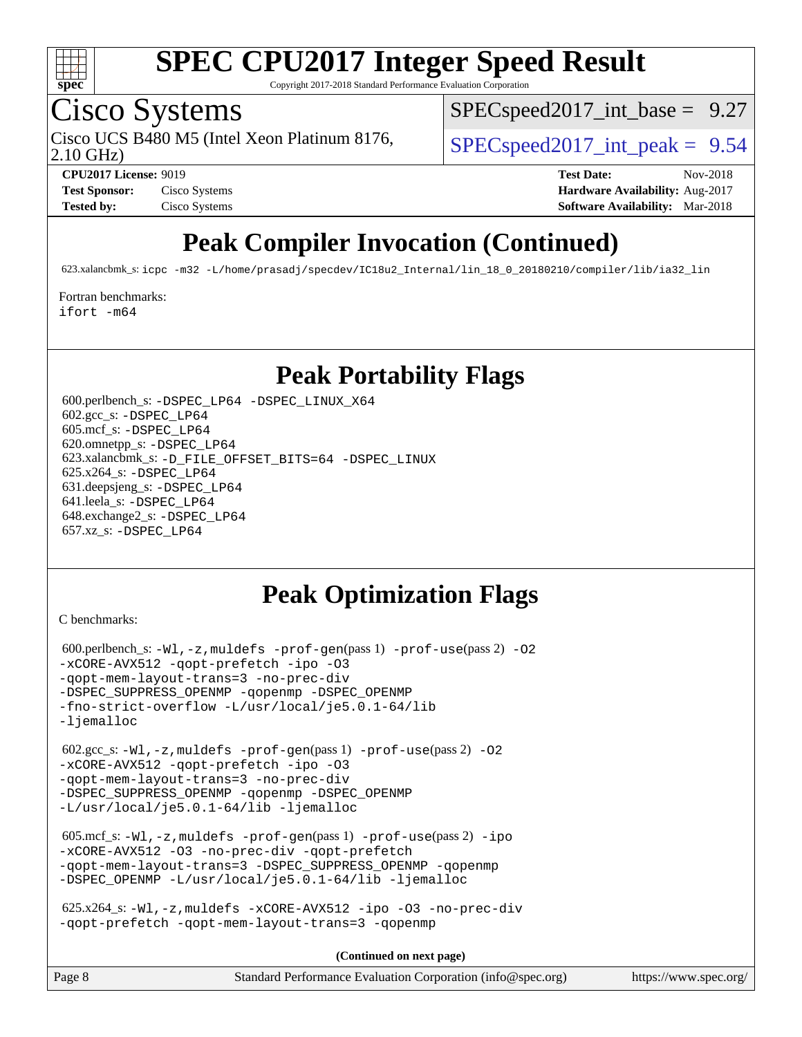

Copyright 2017-2018 Standard Performance Evaluation Corporation

## Cisco Systems

2.10 GHz) Cisco UCS B480 M5 (Intel Xeon Platinum 8176,  $\vert$  [SPECspeed2017\\_int\\_peak =](http://www.spec.org/auto/cpu2017/Docs/result-fields.html#SPECspeed2017intpeak) 9.54

 $SPECspeed2017\_int\_base = 9.27$ 

**[CPU2017 License:](http://www.spec.org/auto/cpu2017/Docs/result-fields.html#CPU2017License)** 9019 **[Test Date:](http://www.spec.org/auto/cpu2017/Docs/result-fields.html#TestDate)** Nov-2018 **[Test Sponsor:](http://www.spec.org/auto/cpu2017/Docs/result-fields.html#TestSponsor)** Cisco Systems **Cisco Systems [Hardware Availability:](http://www.spec.org/auto/cpu2017/Docs/result-fields.html#HardwareAvailability)** Aug-2017 **[Tested by:](http://www.spec.org/auto/cpu2017/Docs/result-fields.html#Testedby)** Cisco Systems **[Software Availability:](http://www.spec.org/auto/cpu2017/Docs/result-fields.html#SoftwareAvailability)** Mar-2018

## **[Peak Compiler Invocation \(Continued\)](http://www.spec.org/auto/cpu2017/Docs/result-fields.html#PeakCompilerInvocation)**

623.xalancbmk\_s: [icpc -m32 -L/home/prasadj/specdev/IC18u2\\_Internal/lin\\_18\\_0\\_20180210/compiler/lib/ia32\\_lin](http://www.spec.org/cpu2017/results/res2018q4/cpu2017-20181211-10301.flags.html#user_peakCXXLD623_xalancbmk_s_intel_icpc_c6d030cd79af6ea7d6fb64c57e8fe7ae8fe0b96fc5a3b3f4a10e3273b3d7fa9decd8263f6330cef23f751cb093a69fae84a2bf4c243500a8eed069248128076f)

[Fortran benchmarks](http://www.spec.org/auto/cpu2017/Docs/result-fields.html#Fortranbenchmarks):

[ifort -m64](http://www.spec.org/cpu2017/results/res2018q4/cpu2017-20181211-10301.flags.html#user_FCpeak_intel_ifort_64bit_24f2bb282fbaeffd6157abe4f878425411749daecae9a33200eee2bee2fe76f3b89351d69a8130dd5949958ce389cf37ff59a95e7a40d588e8d3a57e0c3fd751)

#### **[Peak Portability Flags](http://www.spec.org/auto/cpu2017/Docs/result-fields.html#PeakPortabilityFlags)**

 600.perlbench\_s: [-DSPEC\\_LP64](http://www.spec.org/cpu2017/results/res2018q4/cpu2017-20181211-10301.flags.html#b600.perlbench_s_peakPORTABILITY_DSPEC_LP64) [-DSPEC\\_LINUX\\_X64](http://www.spec.org/cpu2017/results/res2018q4/cpu2017-20181211-10301.flags.html#b600.perlbench_s_peakCPORTABILITY_DSPEC_LINUX_X64) 602.gcc\_s: [-DSPEC\\_LP64](http://www.spec.org/cpu2017/results/res2018q4/cpu2017-20181211-10301.flags.html#suite_peakPORTABILITY602_gcc_s_DSPEC_LP64) 605.mcf\_s: [-DSPEC\\_LP64](http://www.spec.org/cpu2017/results/res2018q4/cpu2017-20181211-10301.flags.html#suite_peakPORTABILITY605_mcf_s_DSPEC_LP64) 620.omnetpp\_s: [-DSPEC\\_LP64](http://www.spec.org/cpu2017/results/res2018q4/cpu2017-20181211-10301.flags.html#suite_peakPORTABILITY620_omnetpp_s_DSPEC_LP64) 623.xalancbmk\_s: [-D\\_FILE\\_OFFSET\\_BITS=64](http://www.spec.org/cpu2017/results/res2018q4/cpu2017-20181211-10301.flags.html#user_peakPORTABILITY623_xalancbmk_s_file_offset_bits_64_5ae949a99b284ddf4e95728d47cb0843d81b2eb0e18bdfe74bbf0f61d0b064f4bda2f10ea5eb90e1dcab0e84dbc592acfc5018bc955c18609f94ddb8d550002c) [-DSPEC\\_LINUX](http://www.spec.org/cpu2017/results/res2018q4/cpu2017-20181211-10301.flags.html#b623.xalancbmk_s_peakCXXPORTABILITY_DSPEC_LINUX) 625.x264\_s: [-DSPEC\\_LP64](http://www.spec.org/cpu2017/results/res2018q4/cpu2017-20181211-10301.flags.html#suite_peakPORTABILITY625_x264_s_DSPEC_LP64) 631.deepsjeng\_s: [-DSPEC\\_LP64](http://www.spec.org/cpu2017/results/res2018q4/cpu2017-20181211-10301.flags.html#suite_peakPORTABILITY631_deepsjeng_s_DSPEC_LP64) 641.leela\_s: [-DSPEC\\_LP64](http://www.spec.org/cpu2017/results/res2018q4/cpu2017-20181211-10301.flags.html#suite_peakPORTABILITY641_leela_s_DSPEC_LP64) 648.exchange2\_s: [-DSPEC\\_LP64](http://www.spec.org/cpu2017/results/res2018q4/cpu2017-20181211-10301.flags.html#suite_peakPORTABILITY648_exchange2_s_DSPEC_LP64) 657.xz\_s: [-DSPEC\\_LP64](http://www.spec.org/cpu2017/results/res2018q4/cpu2017-20181211-10301.flags.html#suite_peakPORTABILITY657_xz_s_DSPEC_LP64)

### **[Peak Optimization Flags](http://www.spec.org/auto/cpu2017/Docs/result-fields.html#PeakOptimizationFlags)**

[C benchmarks](http://www.spec.org/auto/cpu2017/Docs/result-fields.html#Cbenchmarks):

```
600.perlbench_s: -W1, -z, muldefs -prof-gen(pass 1)-prof-use(pass 2) -02
-xCORE-AVX512 -qopt-prefetch -ipo -O3
-qopt-mem-layout-trans=3 -no-prec-div
-DSPEC_SUPPRESS_OPENMP -qopenmp -DSPEC_OPENMP
-fno-strict-overflow -L/usr/local/je5.0.1-64/lib
-ljemalloc
 602.gcc_s: -Wl,-z,muldefs -prof-gen(pass 1) -prof-use(pass 2) -O2
-xCORE-AVX512 -qopt-prefetch -ipo -O3
-qopt-mem-layout-trans=3 -no-prec-div
-DSPEC_SUPPRESS_OPENMP -qopenmp -DSPEC_OPENMP
-L/usr/local/je5.0.1-64/lib -ljemalloc
 605.mcf_s: -Wl,-z,muldefs -prof-gen(pass 1) -prof-use(pass 2) -ipo
-xCORE-AVX512 -O3 -no-prec-div -qopt-prefetch
-qopt-mem-layout-trans=3 -DSPEC_SUPPRESS_OPENMP -qopenmp
-DSPEC_OPENMP -L/usr/local/je5.0.1-64/lib -ljemalloc
 625.x264_s: -Wl,-z,muldefs -xCORE-AVX512 -ipo -O3 -no-prec-div
-qopt-prefetch -qopt-mem-layout-trans=3 -qopenmp
```
**(Continued on next page)**

| Page 8<br>Standard Performance Evaluation Corporation (info@spec.org)<br>https://www.spec.org/ |
|------------------------------------------------------------------------------------------------|
|------------------------------------------------------------------------------------------------|